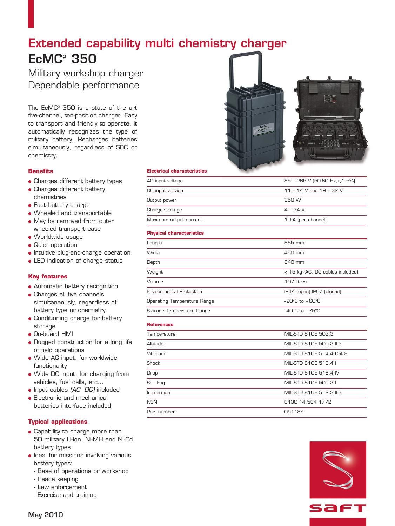# Extended capability multi chemistry charger **EcMC<sup>2</sup> 350**

Military workshop charger Dependable performance

The EcMC<sup>2</sup> 350 is a state of the art five-channel, ten-position charger. Easy to transport and friendly to operate, it automatically recognizes the type of military battery. Recharges batteries simultaneously, regardless of SOC or chemistry.

# **Benefits**

- Charges different battery types
- Charges different battery chemistries
- **Fast battery charge**
- Wheeled and transportable
- May be removed from outer wheeled transport case
- $\bullet$  Worldwide usage
- **.** Quiet operation
- **.** Intuitive plug-and-charge operation
- LED indication of charge status

#### **Key features**

- Automatic battery recognition
- Charges all five channels simultaneously, regardless of battery type or chemistry
- **.** Conditioning charge for battery storage
- **On-board HMI**
- Rugged construction for a long life of field operations
- Wide AC input, for worldwide functionality
- Wide DC input, for charging from vehicles, fuel cells, etc...
- $\bullet$  Input cables (AC, DC) included
- **e** Electronic and mechanical batteries interface included

# **Typical applications**

- Capability to charge more than 50 military Li-ion, Ni-MH and Ni-Cd battery types
- $\bullet$  Ideal for missions involving various battery types:
	- Base of operations or workshop
	- Peace keeping
	- Law enforcement
	- Exercise and training



#### **Electrical characteristics**

| AC input voltage       | 85 - 265 V (50-60 Hz,+/- 5%) |
|------------------------|------------------------------|
| DC input voltage       | 11 – 14 V and 19 – 32 V      |
| Output power           | 350 W                        |
| Charger voltage        | 4 – 34 V                     |
| Maximum output current | 10 A (per channel)           |
|                        |                              |

#### **Physical characteristics**

| Length                             | 685 mm                             |
|------------------------------------|------------------------------------|
| Width                              | 460 mm                             |
| Depth                              | 340 mm                             |
| Weight                             | < 15 kg (AC, DC cables included)   |
| Volume                             | 107 litres                         |
| <b>Environmental Protection</b>    | IP44 (open) IP67 (closed)          |
| <b>Operating Temperature Range</b> | $-20^{\circ}$ C to $+60^{\circ}$ C |
| Storage Temperature Range          | $-40^{\circ}$ C to $+75^{\circ}$ C |

#### **References**

| Temperature | MIL-STD 810E 503.3       |
|-------------|--------------------------|
| Altitude    | MIL-STD 810E 500.3 II-3  |
| Vibration   | MIL-STD 810E 514.4 Cat 8 |
| Shock       | MIL-STD 810E 516.4 I     |
| Drop        | MIL-STD 810E 516.4 IV    |
| Salt Fog    | MIL-STD 810E 509.3 I     |
| Immersion   | MIL-STD 810E 512.3 II-3  |
| NSN         | 6130 14 564 1772         |
| Part number | 09118Y                   |
|             |                          |